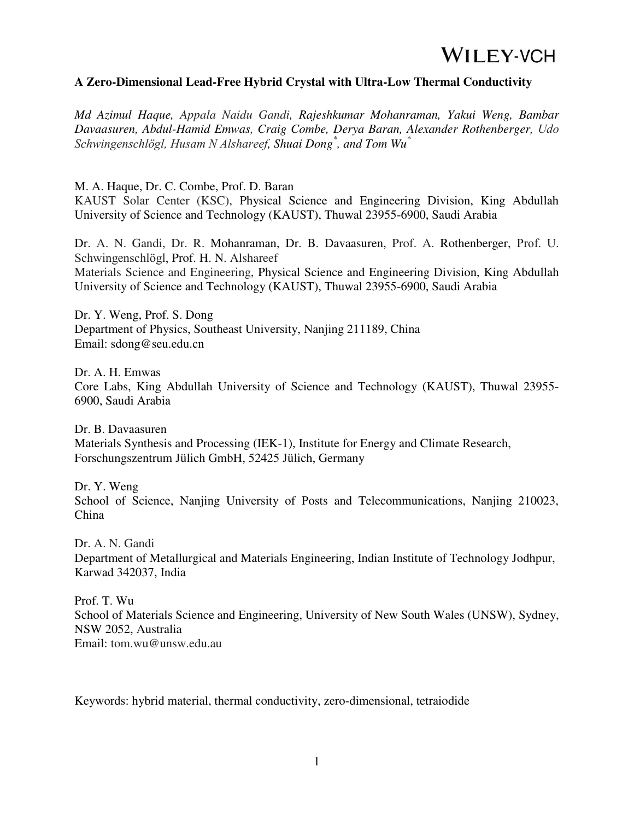### **A Zero-Dimensional Lead-Free Hybrid Crystal with Ultra-Low Thermal Conductivity**

*Md Azimul Haque, Appala Naidu Gandi, Rajeshkumar Mohanraman, Yakui Weng, Bambar Davaasuren, Abdul-Hamid Emwas, Craig Combe, Derya Baran, Alexander Rothenberger, Udo Schwingenschlögl, Husam N Alshareef, Shuai Dong\* , and Tom Wu\** 

M. A. Haque, Dr. C. Combe, Prof. D. Baran

KAUST Solar Center (KSC), Physical Science and Engineering Division, King Abdullah University of Science and Technology (KAUST), Thuwal 23955-6900, Saudi Arabia

Dr. A. N. Gandi, Dr. R. Mohanraman, Dr. B. Davaasuren, Prof. A. Rothenberger, Prof. U. Schwingenschlögl, Prof. H. N. Alshareef Materials Science and Engineering, Physical Science and Engineering Division, King Abdullah University of Science and Technology (KAUST), Thuwal 23955-6900, Saudi Arabia

Dr. Y. Weng, Prof. S. Dong Department of Physics, Southeast University, Nanjing 211189, China Email: sdong@seu.edu.cn

Dr. A. H. Emwas Core Labs, King Abdullah University of Science and Technology (KAUST), Thuwal 23955- 6900, Saudi Arabia

Dr. B. Davaasuren Materials Synthesis and Processing (IEK-1), Institute for Energy and Climate Research, Forschungszentrum Jülich GmbH, 52425 Jülich, Germany

Dr. Y. Weng School of Science, Nanjing University of Posts and Telecommunications, Nanjing 210023, China

Dr. A. N. Gandi Department of Metallurgical and Materials Engineering, Indian Institute of Technology Jodhpur, Karwad 342037, India

Prof. T. Wu School of Materials Science and Engineering, University of New South Wales (UNSW), Sydney, NSW 2052, Australia Email: tom.wu@unsw.edu.au

Keywords: hybrid material, thermal conductivity, zero-dimensional, tetraiodide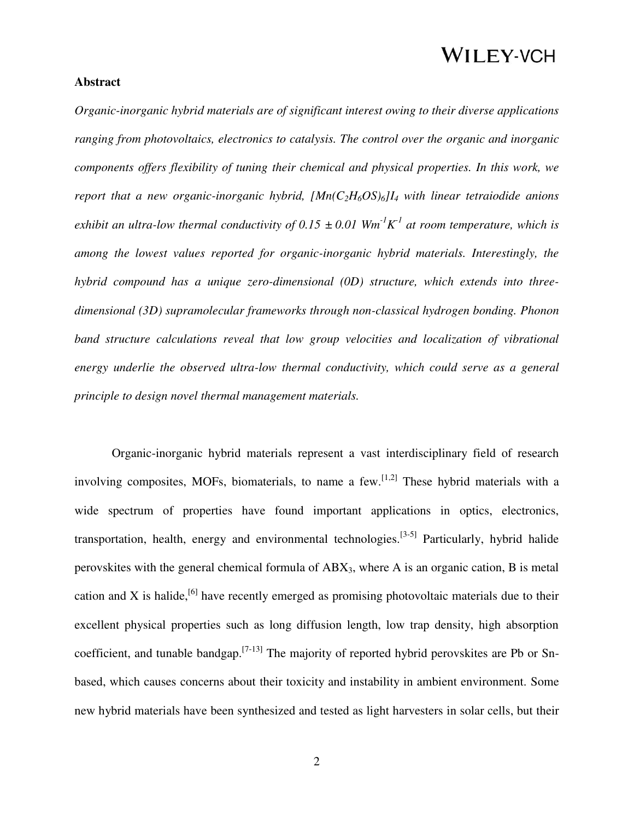### **Abstract**

*Organic-inorganic hybrid materials are of significant interest owing to their diverse applications ranging from photovoltaics, electronics to catalysis. The control over the organic and inorganic components offers flexibility of tuning their chemical and physical properties. In this work, we report that a new organic-inorganic hybrid, [Mn(C2H6OS)6]I4 with linear tetraiodide anions exhibit an ultra-low thermal conductivity of 0.15*  $\pm$  0.01  $Wm$ <sup>-1</sup> $K$ <sup>1</sup> at room temperature, which is *among the lowest values reported for organic-inorganic hybrid materials. Interestingly, the hybrid compound has a unique zero-dimensional (0D) structure, which extends into threedimensional (3D) supramolecular frameworks through non-classical hydrogen bonding. Phonon band structure calculations reveal that low group velocities and localization of vibrational energy underlie the observed ultra-low thermal conductivity, which could serve as a general principle to design novel thermal management materials.*

 Organic-inorganic hybrid materials represent a vast interdisciplinary field of research involving composites, MOFs, biomaterials, to name a few.<sup>[1,2]</sup> These hybrid materials with a wide spectrum of properties have found important applications in optics, electronics, transportation, health, energy and environmental technologies.<sup>[3-5]</sup> Particularly, hybrid halide perovskites with the general chemical formula of ABX3, where A is an organic cation, B is metal cation and X is halide,<sup>[6]</sup> have recently emerged as promising photovoltaic materials due to their excellent physical properties such as long diffusion length, low trap density, high absorption coefficient, and tunable bandgap.[7-13] The majority of reported hybrid perovskites are Pb or Snbased, which causes concerns about their toxicity and instability in ambient environment. Some new hybrid materials have been synthesized and tested as light harvesters in solar cells, but their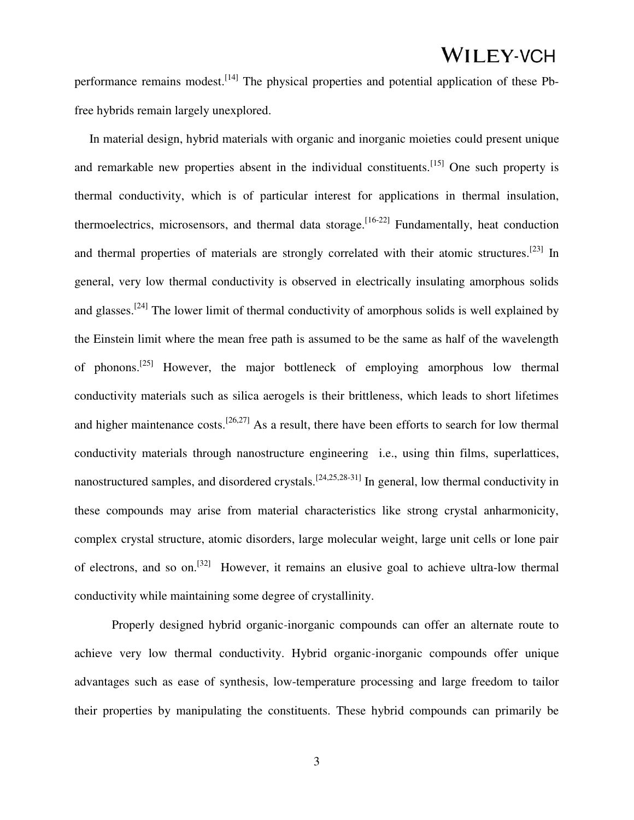performance remains modest.<sup>[14]</sup> The physical properties and potential application of these Pbfree hybrids remain largely unexplored.

In material design, hybrid materials with organic and inorganic moieties could present unique and remarkable new properties absent in the individual constituents.<sup>[15]</sup> One such property is thermal conductivity, which is of particular interest for applications in thermal insulation, thermoelectrics, microsensors, and thermal data storage.<sup>[16-22]</sup> Fundamentally, heat conduction and thermal properties of materials are strongly correlated with their atomic structures.<sup>[23]</sup> In general, very low thermal conductivity is observed in electrically insulating amorphous solids and glasses.<sup>[24]</sup> The lower limit of thermal conductivity of amorphous solids is well explained by the Einstein limit where the mean free path is assumed to be the same as half of the wavelength of phonons.[25] However, the major bottleneck of employing amorphous low thermal conductivity materials such as silica aerogels is their brittleness, which leads to short lifetimes and higher maintenance costs.<sup>[26,27]</sup> As a result, there have been efforts to search for low thermal conductivity materials through nanostructure engineering i.e., using thin films, superlattices, nanostructured samples, and disordered crystals.<sup>[24,25,28-31]</sup> In general, low thermal conductivity in these compounds may arise from material characteristics like strong crystal anharmonicity, complex crystal structure, atomic disorders, large molecular weight, large unit cells or lone pair of electrons, and so on.<sup>[32]</sup> However, it remains an elusive goal to achieve ultra-low thermal conductivity while maintaining some degree of crystallinity.

 Properly designed hybrid organic-inorganic compounds can offer an alternate route to achieve very low thermal conductivity. Hybrid organic-inorganic compounds offer unique advantages such as ease of synthesis, low-temperature processing and large freedom to tailor their properties by manipulating the constituents. These hybrid compounds can primarily be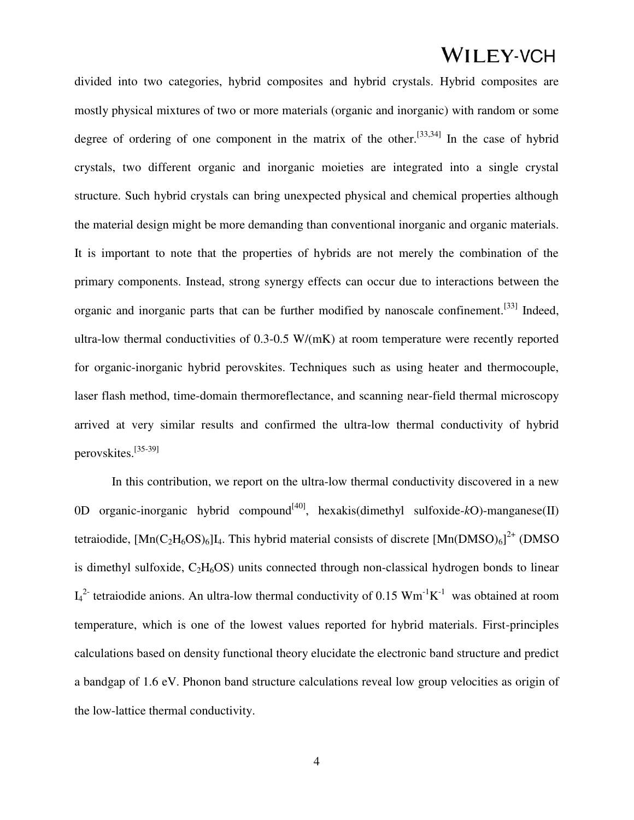divided into two categories, hybrid composites and hybrid crystals. Hybrid composites are mostly physical mixtures of two or more materials (organic and inorganic) with random or some degree of ordering of one component in the matrix of the other.<sup>[33,34]</sup> In the case of hybrid crystals, two different organic and inorganic moieties are integrated into a single crystal structure. Such hybrid crystals can bring unexpected physical and chemical properties although the material design might be more demanding than conventional inorganic and organic materials. It is important to note that the properties of hybrids are not merely the combination of the primary components. Instead, strong synergy effects can occur due to interactions between the organic and inorganic parts that can be further modified by nanoscale confinement.<sup>[33]</sup> Indeed, ultra-low thermal conductivities of 0.3-0.5 W/(mK) at room temperature were recently reported for organic-inorganic hybrid perovskites. Techniques such as using heater and thermocouple, laser flash method, time-domain thermoreflectance, and scanning near-field thermal microscopy arrived at very similar results and confirmed the ultra-low thermal conductivity of hybrid perovskites.[35-39]

 In this contribution, we report on the ultra-low thermal conductivity discovered in a new 0D organic-inorganic hybrid compound<sup>[40]</sup>, hexakis(dimethyl sulfoxide- $k$ O)-manganese(II) tetraiodide,  $[Mn(C_2H_6OS)_6]I_4$ . This hybrid material consists of discrete  $[Mn(DMSO)_6]^{2+}$  (DMSO) is dimethyl sulfoxide,  $C_2H_6OS$ ) units connected through non-classical hydrogen bonds to linear  $I_4^2$  tetraiodide anions. An ultra-low thermal conductivity of 0.15  $Wm^{-1}K^{-1}$  was obtained at room temperature, which is one of the lowest values reported for hybrid materials. First-principles calculations based on density functional theory elucidate the electronic band structure and predict a bandgap of 1.6 eV. Phonon band structure calculations reveal low group velocities as origin of the low-lattice thermal conductivity.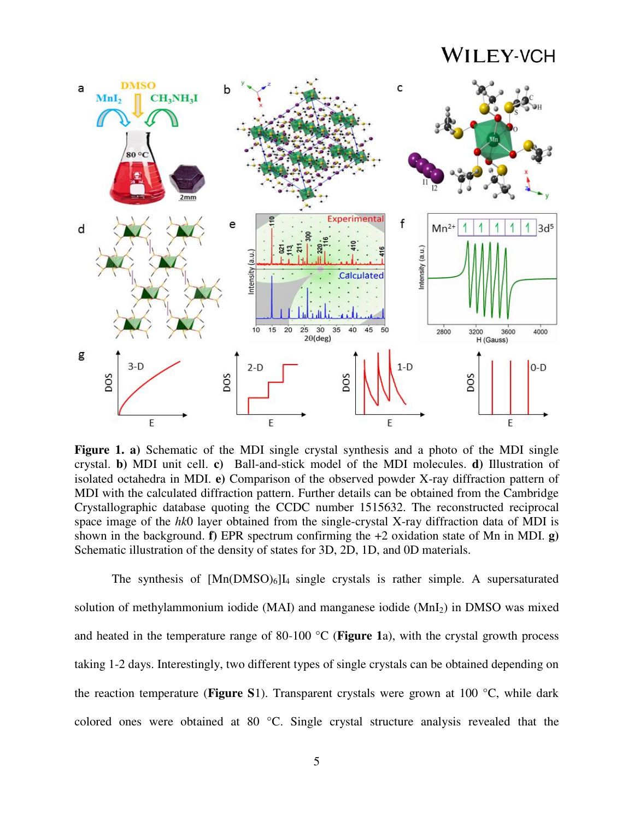

**Figure 1. a)** Schematic of the MDI single crystal synthesis and a photo of the MDI single crystal. **b)** MDI unit cell. **c)** Ball-and-stick model of the MDI molecules. **d)** Illustration of isolated octahedra in MDI. **e)** Comparison of the observed powder X-ray diffraction pattern of MDI with the calculated diffraction pattern. Further details can be obtained from the Cambridge Crystallographic database quoting the CCDC number 1515632. The reconstructed reciprocal space image of the *hk*0 layer obtained from the single-crystal X-ray diffraction data of MDI is shown in the background. **f)** EPR spectrum confirming the +2 oxidation state of Mn in MDI. **g)**  Schematic illustration of the density of states for 3D, 2D, 1D, and 0D materials.

The synthesis of  $[Mn(DMSO)_6]I_4$  single crystals is rather simple. A supersaturated solution of methylammonium iodide (MAI) and manganese iodide ( $MnI<sub>2</sub>$ ) in DMSO was mixed and heated in the temperature range of 80-100 °C (**Figure 1**a), with the crystal growth process taking 1-2 days. Interestingly, two different types of single crystals can be obtained depending on the reaction temperature (**Figure S**1). Transparent crystals were grown at 100 °C, while dark colored ones were obtained at 80 °C. Single crystal structure analysis revealed that the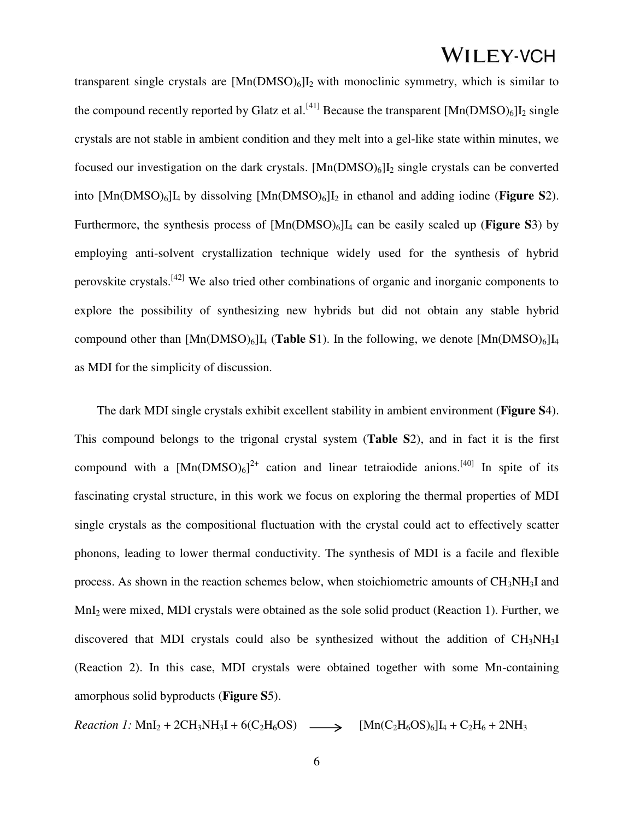transparent single crystals are  $[Mn(DMSO)_6]I_2$  with monoclinic symmetry, which is similar to the compound recently reported by Glatz et al.<sup>[41]</sup> Because the transparent  $[Mn(DMSO)_6]$ <sup>I</sup><sub>2</sub> single crystals are not stable in ambient condition and they melt into a gel-like state within minutes, we focused our investigation on the dark crystals.  $[Mn(DMSO)_6]I_2$  single crystals can be converted into [Mn(DMSO)6]I4 by dissolving [Mn(DMSO)6]I2 in ethanol and adding iodine (**Figure S**2). Furthermore, the synthesis process of [Mn(DMSO)6]I4 can be easily scaled up (**Figure S**3) by employing anti-solvent crystallization technique widely used for the synthesis of hybrid perovskite crystals.[42] We also tried other combinations of organic and inorganic components to explore the possibility of synthesizing new hybrids but did not obtain any stable hybrid compound other than  $[Mn(DMSO)_6]I_4$  (**Table S**1). In the following, we denote  $[Mn(DMSO)_6]I_4$ as MDI for the simplicity of discussion.

The dark MDI single crystals exhibit excellent stability in ambient environment (**Figure S**4). This compound belongs to the trigonal crystal system (**Table S**2), and in fact it is the first compound with a  $[Mn(DMSO)_6]^{2+}$  cation and linear tetraiodide anions.<sup>[40]</sup> In spite of its fascinating crystal structure, in this work we focus on exploring the thermal properties of MDI single crystals as the compositional fluctuation with the crystal could act to effectively scatter phonons, leading to lower thermal conductivity. The synthesis of MDI is a facile and flexible process. As shown in the reaction schemes below, when stoichiometric amounts of  $CH<sub>3</sub>NH<sub>3</sub>I$  and MnI2 were mixed, MDI crystals were obtained as the sole solid product (Reaction 1). Further, we discovered that MDI crystals could also be synthesized without the addition of  $CH<sub>3</sub>NH<sub>3</sub>I$ (Reaction 2). In this case, MDI crystals were obtained together with some Mn-containing amorphous solid byproducts (**Figure S**5).

*Reaction 1:*  $MnI_2 + 2CH_3NH_3I + 6(C_2H_6OS)$   $\longrightarrow$   $[Mn(C_2H_6OS)_6]I_4 + C_2H_6 + 2NH_3$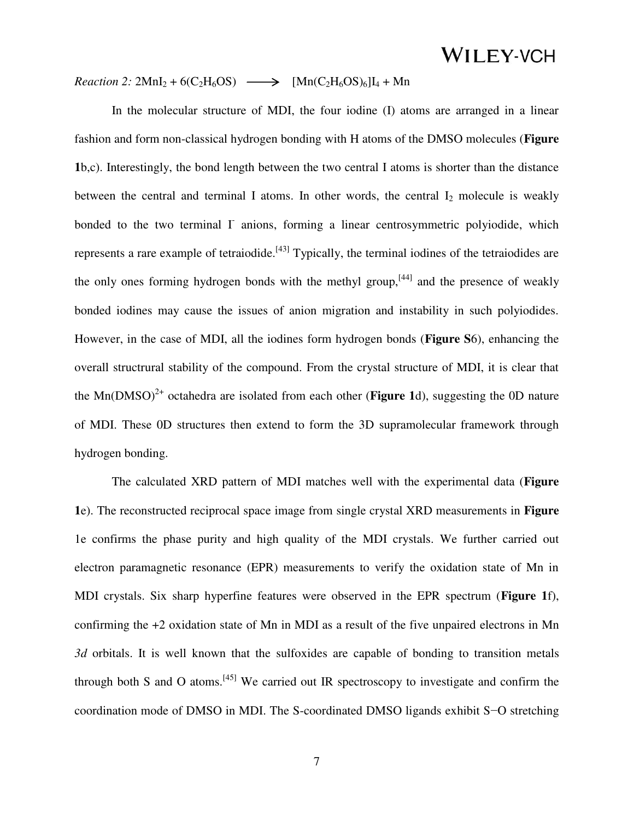### *Reaction 2:*  $2MnI_2 + 6(C_2H_6OS) \longrightarrow [Mn(C_2H_6OS)_6]I_4 + Mn$

 In the molecular structure of MDI, the four iodine (I) atoms are arranged in a linear fashion and form non-classical hydrogen bonding with H atoms of the DMSO molecules (**Figure 1**b,c). Interestingly, the bond length between the two central I atoms is shorter than the distance between the central and terminal I atoms. In other words, the central  $I_2$  molecule is weakly bonded to the two terminal  $\Gamma$  anions, forming a linear centrosymmetric polyiodide, which represents a rare example of tetraiodide.<sup>[43]</sup> Typically, the terminal iodines of the tetraiodides are the only ones forming hydrogen bonds with the methyl group,  $[44]$  and the presence of weakly bonded iodines may cause the issues of anion migration and instability in such polyiodides. However, in the case of MDI, all the iodines form hydrogen bonds (**Figure S**6), enhancing the overall structrural stability of the compound. From the crystal structure of MDI, it is clear that the Mn( $DMSO$ <sup>2+</sup> octahedra are isolated from each other (**Figure 1**d), suggesting the 0D nature of MDI. These 0D structures then extend to form the 3D supramolecular framework through hydrogen bonding.

 The calculated XRD pattern of MDI matches well with the experimental data (**Figure 1**e). The reconstructed reciprocal space image from single crystal XRD measurements in **Figure**  1e confirms the phase purity and high quality of the MDI crystals. We further carried out electron paramagnetic resonance (EPR) measurements to verify the oxidation state of Mn in MDI crystals. Six sharp hyperfine features were observed in the EPR spectrum (**Figure 1**f), confirming the +2 oxidation state of Mn in MDI as a result of the five unpaired electrons in Mn *3d* orbitals. It is well known that the sulfoxides are capable of bonding to transition metals through both S and O atoms.<sup>[45]</sup> We carried out IR spectroscopy to investigate and confirm the coordination mode of DMSO in MDI. The S-coordinated DMSO ligands exhibit S−O stretching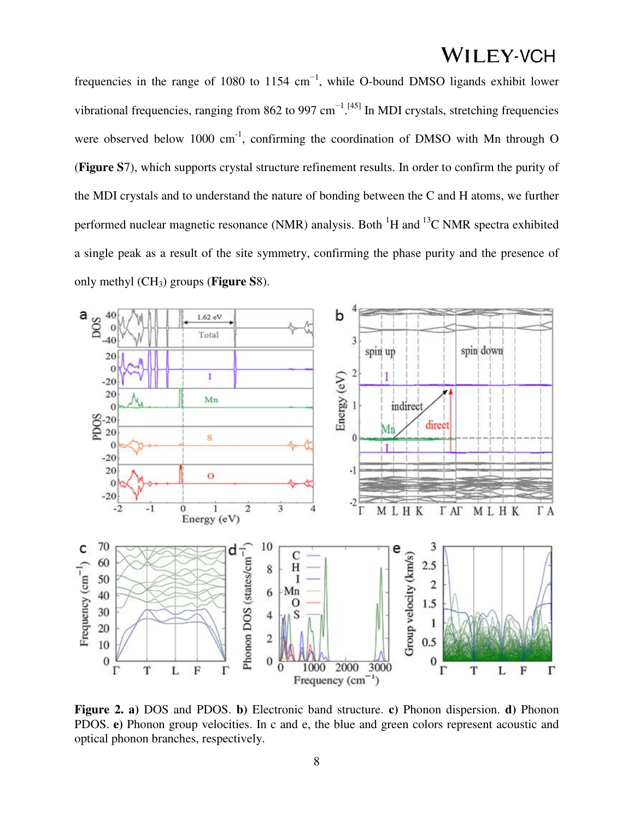frequencies in the range of 1080 to 1154  $cm^{-1}$ , while O-bound DMSO ligands exhibit lower vibrational frequencies, ranging from 862 to 997 cm<sup>-1 [45]</sup> In MDI crystals, stretching frequencies were observed below 1000  $cm^{-1}$ , confirming the coordination of DMSO with Mn through O (**Figure S**7), which supports crystal structure refinement results. In order to confirm the purity of the MDI crystals and to understand the nature of bonding between the C and H atoms, we further performed nuclear magnetic resonance (NMR) analysis. Both  ${}^{1}H$  and  ${}^{13}C$  NMR spectra exhibited a single peak as a result of the site symmetry, confirming the phase purity and the presence of only methyl (CH3) groups (**Figure S**8).



**Figure 2. a)** DOS and PDOS. **b)** Electronic band structure. **c)** Phonon dispersion. **d)** Phonon PDOS. **e)** Phonon group velocities. In c and e, the blue and green colors represent acoustic and optical phonon branches, respectively.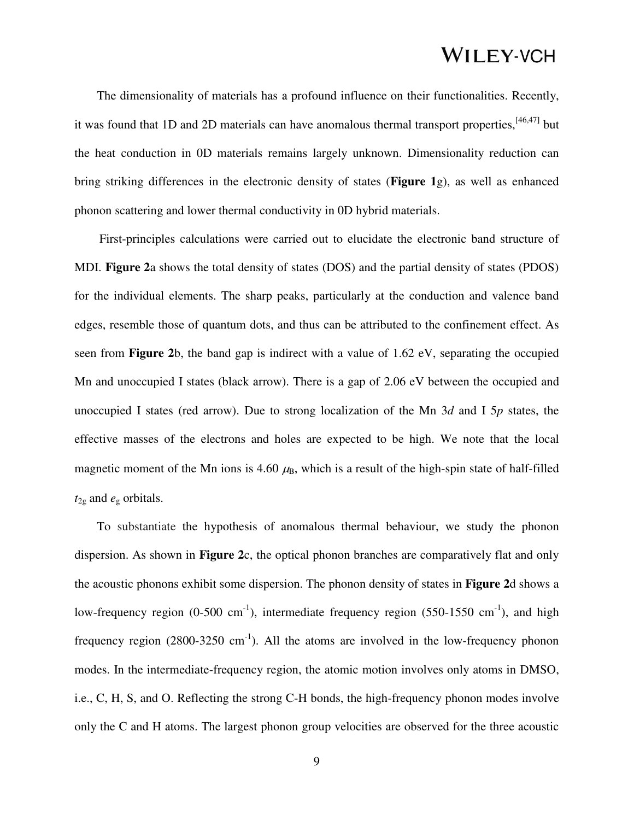The dimensionality of materials has a profound influence on their functionalities. Recently, it was found that 1D and 2D materials can have anomalous thermal transport properties,<sup>[46,47]</sup> but the heat conduction in 0D materials remains largely unknown. Dimensionality reduction can bring striking differences in the electronic density of states (**Figure 1**g), as well as enhanced phonon scattering and lower thermal conductivity in 0D hybrid materials.

First-principles calculations were carried out to elucidate the electronic band structure of MDI. **Figure 2**a shows the total density of states (DOS) and the partial density of states (PDOS) for the individual elements. The sharp peaks, particularly at the conduction and valence band edges, resemble those of quantum dots, and thus can be attributed to the confinement effect. As seen from **Figure 2**b, the band gap is indirect with a value of 1.62 eV, separating the occupied Mn and unoccupied I states (black arrow). There is a gap of 2.06 eV between the occupied and unoccupied I states (red arrow). Due to strong localization of the Mn 3*d* and I 5*p* states, the effective masses of the electrons and holes are expected to be high. We note that the local magnetic moment of the Mn ions is 4.60  $\mu$ <sub>B</sub>, which is a result of the high-spin state of half-filled *t*2g and *e*g orbitals.

To substantiate the hypothesis of anomalous thermal behaviour, we study the phonon dispersion. As shown in **Figure 2**c, the optical phonon branches are comparatively flat and only the acoustic phonons exhibit some dispersion. The phonon density of states in **Figure 2**d shows a low-frequency region  $(0-500 \text{ cm}^{-1})$ , intermediate frequency region  $(550-1550 \text{ cm}^{-1})$ , and high frequency region (2800-3250 cm<sup>-1</sup>). All the atoms are involved in the low-frequency phonon modes. In the intermediate-frequency region, the atomic motion involves only atoms in DMSO, i.e., C, H, S, and O. Reflecting the strong C-H bonds, the high-frequency phonon modes involve only the C and H atoms. The largest phonon group velocities are observed for the three acoustic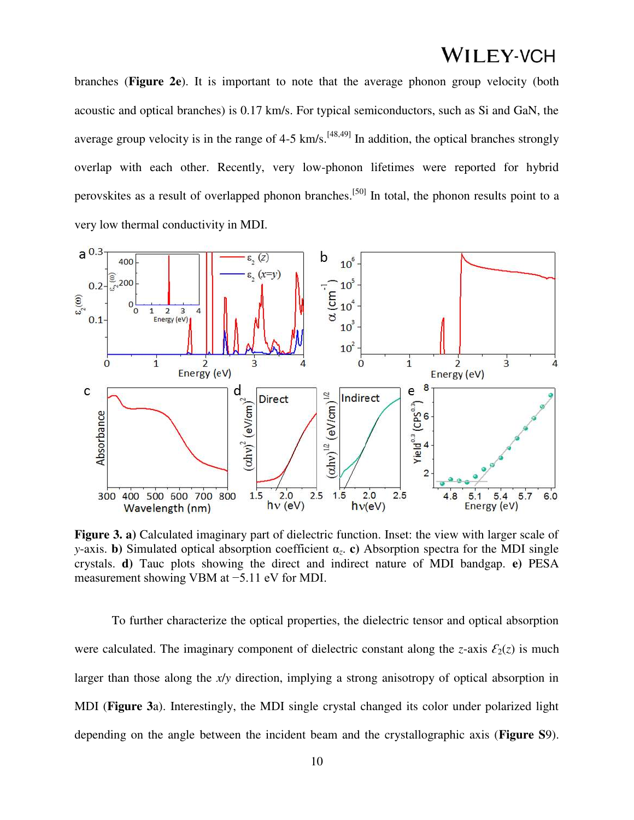branches (**Figure 2e**). It is important to note that the average phonon group velocity (both acoustic and optical branches) is 0.17 km/s. For typical semiconductors, such as Si and GaN, the average group velocity is in the range of 4-5 km/s.<sup>[48,49]</sup> In addition, the optical branches strongly overlap with each other. Recently, very low-phonon lifetimes were reported for hybrid perovskites as a result of overlapped phonon branches.<sup>[50]</sup> In total, the phonon results point to a very low thermal conductivity in MDI.



**Figure 3. a)** Calculated imaginary part of dielectric function. Inset: the view with larger scale of *y*-axis. **b)** Simulated optical absorption coefficient α*z*. **c)** Absorption spectra for the MDI single crystals. **d)** Tauc plots showing the direct and indirect nature of MDI bandgap. **e)** PESA measurement showing VBM at −5.11 eV for MDI.

To further characterize the optical properties, the dielectric tensor and optical absorption were calculated. The imaginary component of dielectric constant along the *z*-axis  $\mathcal{E}_2(z)$  is much larger than those along the *x*/*y* direction, implying a strong anisotropy of optical absorption in MDI (**Figure 3**a). Interestingly, the MDI single crystal changed its color under polarized light depending on the angle between the incident beam and the crystallographic axis (**Figure S**9).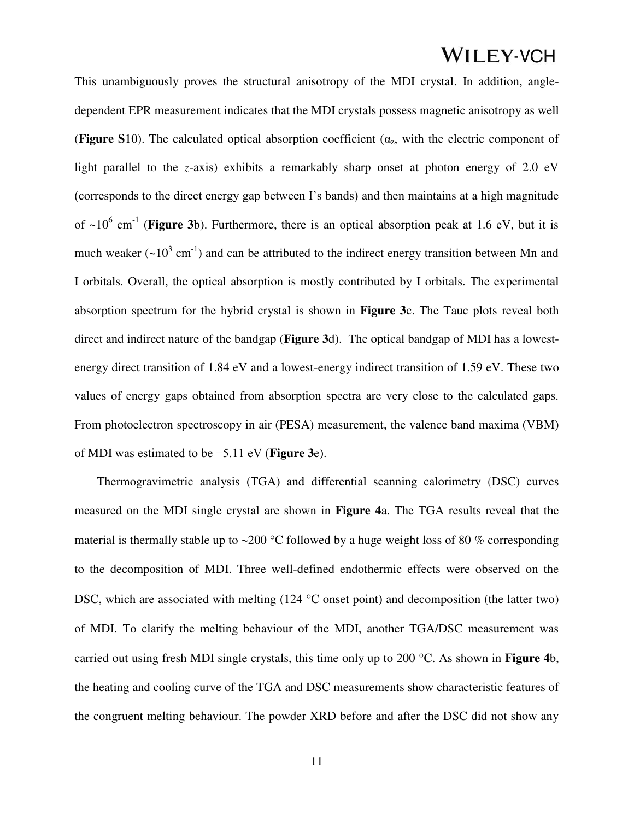This unambiguously proves the structural anisotropy of the MDI crystal. In addition, angledependent EPR measurement indicates that the MDI crystals possess magnetic anisotropy as well (**Figure S**10). The calculated optical absorption coefficient ( $\alpha_z$ , with the electric component of light parallel to the *z*-axis) exhibits a remarkably sharp onset at photon energy of 2.0 eV (corresponds to the direct energy gap between I's bands) and then maintains at a high magnitude of  $\sim 10^6$  cm<sup>-1</sup> (**Figure 3**b). Furthermore, there is an optical absorption peak at 1.6 eV, but it is much weaker ( $\sim 10^3$  cm<sup>-1</sup>) and can be attributed to the indirect energy transition between Mn and I orbitals. Overall, the optical absorption is mostly contributed by I orbitals. The experimental absorption spectrum for the hybrid crystal is shown in **Figure 3**c. The Tauc plots reveal both direct and indirect nature of the bandgap (**Figure 3**d). The optical bandgap of MDI has a lowestenergy direct transition of 1.84 eV and a lowest-energy indirect transition of 1.59 eV. These two values of energy gaps obtained from absorption spectra are very close to the calculated gaps. From photoelectron spectroscopy in air (PESA) measurement, the valence band maxima (VBM) of MDI was estimated to be −5.11 eV (**Figure 3**e).

Thermogravimetric analysis (TGA) and differential scanning calorimetry (DSC) curves measured on the MDI single crystal are shown in **Figure 4**a. The TGA results reveal that the material is thermally stable up to  $\sim$ 200 °C followed by a huge weight loss of 80 % corresponding to the decomposition of MDI. Three well-defined endothermic effects were observed on the DSC, which are associated with melting  $(124 \text{ °C} \text{ onset point})$  and decomposition (the latter two) of MDI. To clarify the melting behaviour of the MDI, another TGA/DSC measurement was carried out using fresh MDI single crystals, this time only up to 200 °C. As shown in **Figure 4**b, the heating and cooling curve of the TGA and DSC measurements show characteristic features of the congruent melting behaviour. The powder XRD before and after the DSC did not show any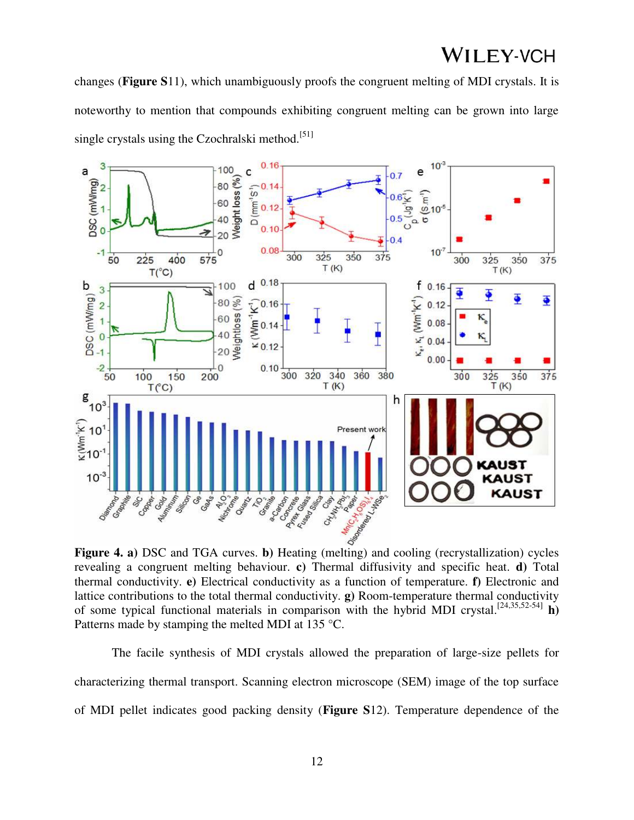changes (**Figure S**11), which unambiguously proofs the congruent melting of MDI crystals. It is noteworthy to mention that compounds exhibiting congruent melting can be grown into large single crystals using the Czochralski method.<sup>[51]</sup>



revealing a congruent melting behaviour. **c)** Thermal diffusivity and specific heat. **d)** Total thermal conductivity. **e)** Electrical conductivity as a function of temperature. **f)** Electronic and lattice contributions to the total thermal conductivity. **g)** Room-temperature thermal conductivity of some typical functional materials in comparison with the hybrid MDI crystal.[24,35,52-54] **h)**  Patterns made by stamping the melted MDI at 135 °C.

 The facile synthesis of MDI crystals allowed the preparation of large-size pellets for characterizing thermal transport. Scanning electron microscope (SEM) image of the top surface of MDI pellet indicates good packing density (**Figure S**12). Temperature dependence of the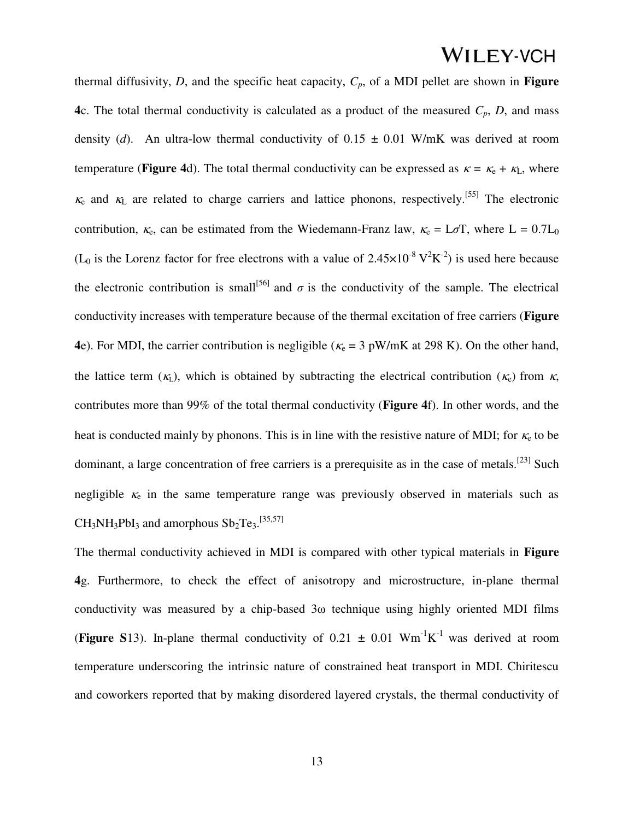thermal diffusivity, *D*, and the specific heat capacity, *Cp*, of a MDI pellet are shown in **Figure 4**c. The total thermal conductivity is calculated as a product of the measured  $C_p$ ,  $D$ , and mass density (*d*). An ultra-low thermal conductivity of  $0.15 \pm 0.01$  W/mK was derived at room temperature (**Figure 4**d). The total thermal conductivity can be expressed as  $\kappa = \kappa_e + \kappa_L$ , where  $\kappa$  and  $\kappa$ <sub>L</sub> are related to charge carriers and lattice phonons, respectively.<sup>[55]</sup> The electronic contribution,  $\kappa_e$ , can be estimated from the Wiedemann-Franz law,  $\kappa_e = L\sigma T$ , where  $L = 0.7L_0$ (L<sub>0</sub> is the Lorenz factor for free electrons with a value of  $2.45 \times 10^{-8}$  V<sup>2</sup>K<sup>-2</sup>) is used here because the electronic contribution is small<sup>[56]</sup> and  $\sigma$  is the conductivity of the sample. The electrical conductivity increases with temperature because of the thermal excitation of free carriers (**Figure 4**e). For MDI, the carrier contribution is negligible ( $\kappa$ <sub>e</sub> = 3 pW/mK at 298 K). On the other hand, the lattice term  $(K_L)$ , which is obtained by subtracting the electrical contribution  $(K_c)$  from  $K$ , contributes more than 99% of the total thermal conductivity (**Figure 4**f). In other words, and the heat is conducted mainly by phonons. This is in line with the resistive nature of MDI; for  $\kappa_{e}$  to be dominant, a large concentration of free carriers is a prerequisite as in the case of metals.<sup>[23]</sup> Such negligible  $\kappa_e$  in the same temperature range was previously observed in materials such as  $CH_3NH_3PbI_3$  and amorphous  $Sb_2Te_3$ . [35,57]

The thermal conductivity achieved in MDI is compared with other typical materials in **Figure 4**g. Furthermore, to check the effect of anisotropy and microstructure, in-plane thermal conductivity was measured by a chip-based 3ω technique using highly oriented MDI films (**Figure S**13). In-plane thermal conductivity of  $0.21 \pm 0.01$  Wm<sup>-1</sup>K<sup>-1</sup> was derived at room temperature underscoring the intrinsic nature of constrained heat transport in MDI. Chiritescu and coworkers reported that by making disordered layered crystals, the thermal conductivity of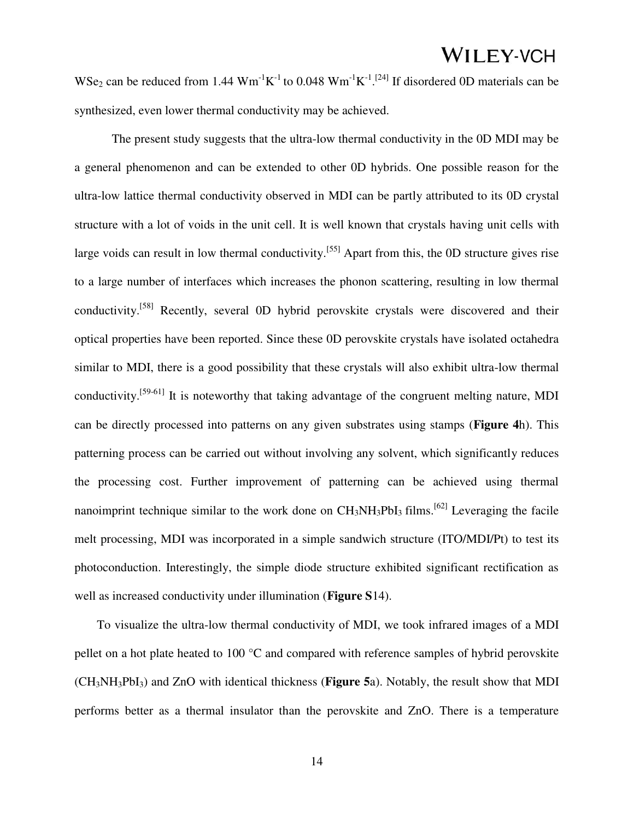WSe<sub>2</sub> can be reduced from 1.44  $Wm^{-1}K^{-1}$  to 0.048  $Wm^{-1}K^{-1}$ .<sup>[24]</sup> If disordered 0D materials can be synthesized, even lower thermal conductivity may be achieved.

 The present study suggests that the ultra-low thermal conductivity in the 0D MDI may be a general phenomenon and can be extended to other 0D hybrids. One possible reason for the ultra-low lattice thermal conductivity observed in MDI can be partly attributed to its 0D crystal structure with a lot of voids in the unit cell. It is well known that crystals having unit cells with large voids can result in low thermal conductivity.<sup>[55]</sup> Apart from this, the 0D structure gives rise to a large number of interfaces which increases the phonon scattering, resulting in low thermal conductivity.<sup>[58]</sup> Recently, several 0D hybrid perovskite crystals were discovered and their optical properties have been reported. Since these 0D perovskite crystals have isolated octahedra similar to MDI, there is a good possibility that these crystals will also exhibit ultra-low thermal conductivity.[59-61] It is noteworthy that taking advantage of the congruent melting nature, MDI can be directly processed into patterns on any given substrates using stamps (**Figure 4**h). This patterning process can be carried out without involving any solvent, which significantly reduces the processing cost. Further improvement of patterning can be achieved using thermal nanoimprint technique similar to the work done on  $CH_3NH_3PbI_3$  films.<sup>[62]</sup> Leveraging the facile melt processing, MDI was incorporated in a simple sandwich structure (ITO/MDI/Pt) to test its photoconduction. Interestingly, the simple diode structure exhibited significant rectification as well as increased conductivity under illumination (**Figure S**14).

To visualize the ultra-low thermal conductivity of MDI, we took infrared images of a MDI pellet on a hot plate heated to 100 °C and compared with reference samples of hybrid perovskite (CH3NH3PbI3) and ZnO with identical thickness (**Figure 5**a). Notably, the result show that MDI performs better as a thermal insulator than the perovskite and ZnO. There is a temperature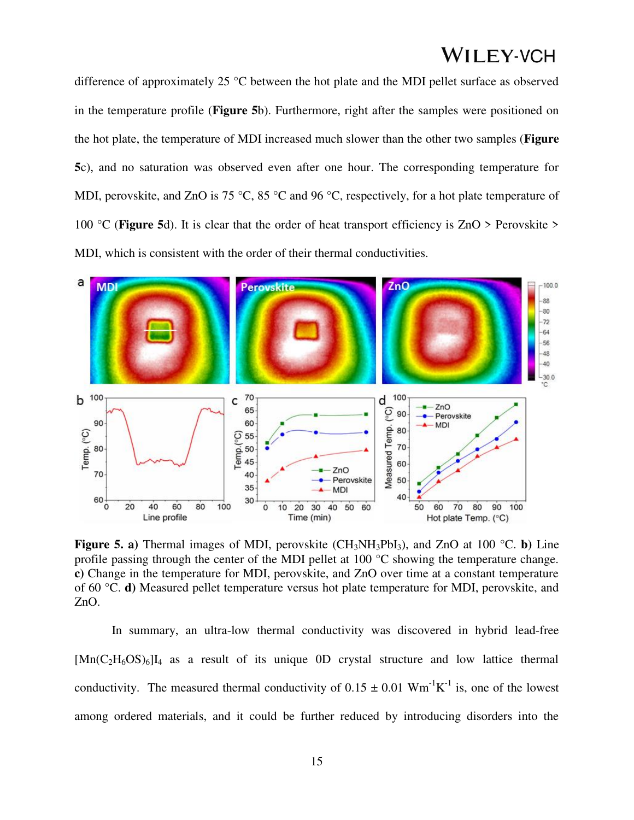difference of approximately 25 °C between the hot plate and the MDI pellet surface as observed in the temperature profile (**Figure 5**b). Furthermore, right after the samples were positioned on the hot plate, the temperature of MDI increased much slower than the other two samples (**Figure 5**c), and no saturation was observed even after one hour. The corresponding temperature for MDI, perovskite, and ZnO is 75 °C, 85 °C and 96 °C, respectively, for a hot plate temperature of 100 °C (**Figure 5**d). It is clear that the order of heat transport efficiency is ZnO > Perovskite > MDI, which is consistent with the order of their thermal conductivities.



**Figure 5. a)** Thermal images of MDI, perovskite (CH<sub>3</sub>NH<sub>3</sub>PbI<sub>3</sub>), and ZnO at 100 °C. **b**) Line profile passing through the center of the MDI pellet at 100 °C showing the temperature change. **c)** Change in the temperature for MDI, perovskite, and ZnO over time at a constant temperature of 60 °C. **d)** Measured pellet temperature versus hot plate temperature for MDI, perovskite, and ZnO.

In summary, an ultra-low thermal conductivity was discovered in hybrid lead-free  $[Mn(C<sub>2</sub>H<sub>6</sub>OS)<sub>6</sub>]<sub>4</sub>$  as a result of its unique 0D crystal structure and low lattice thermal conductivity. The measured thermal conductivity of  $0.15 \pm 0.01$  Wm<sup>-1</sup>K<sup>-1</sup> is, one of the lowest among ordered materials, and it could be further reduced by introducing disorders into the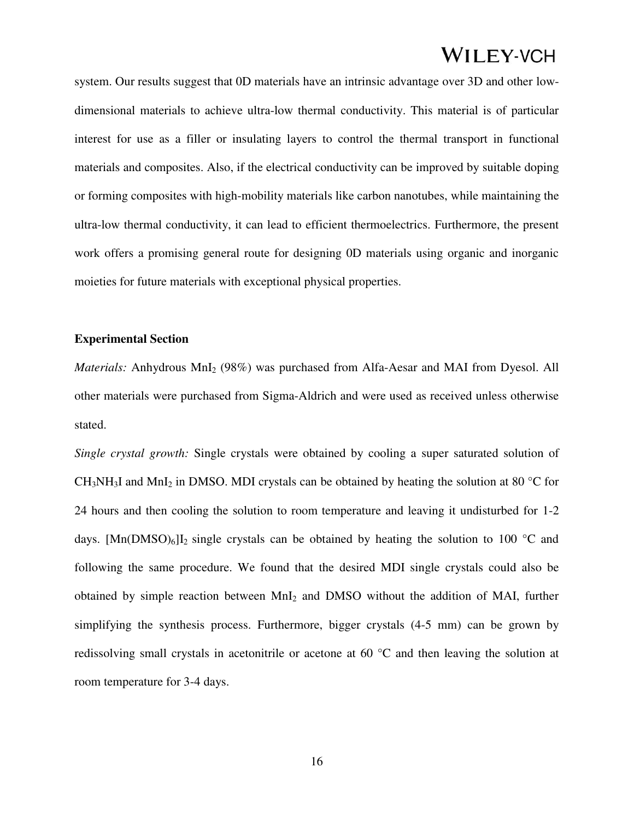system. Our results suggest that 0D materials have an intrinsic advantage over 3D and other lowdimensional materials to achieve ultra-low thermal conductivity. This material is of particular interest for use as a filler or insulating layers to control the thermal transport in functional materials and composites. Also, if the electrical conductivity can be improved by suitable doping or forming composites with high-mobility materials like carbon nanotubes, while maintaining the ultra-low thermal conductivity, it can lead to efficient thermoelectrics. Furthermore, the present work offers a promising general route for designing 0D materials using organic and inorganic moieties for future materials with exceptional physical properties.

#### **Experimental Section**

*Materials:* Anhydrous MnI<sub>2</sub> (98%) was purchased from Alfa-Aesar and MAI from Dyesol. All other materials were purchased from Sigma-Aldrich and were used as received unless otherwise stated.

*Single crystal growth:* Single crystals were obtained by cooling a super saturated solution of CH<sub>3</sub>NH<sub>3</sub>I and MnI<sub>2</sub> in DMSO. MDI crystals can be obtained by heating the solution at 80  $^{\circ}$ C for 24 hours and then cooling the solution to room temperature and leaving it undisturbed for 1-2 days.  $[Mn(DMSO)<sub>6</sub>$ I<sub>2</sub> single crystals can be obtained by heating the solution to 100 °C and following the same procedure. We found that the desired MDI single crystals could also be obtained by simple reaction between MnI2 and DMSO without the addition of MAI, further simplifying the synthesis process. Furthermore, bigger crystals (4-5 mm) can be grown by redissolving small crystals in acetonitrile or acetone at 60 °C and then leaving the solution at room temperature for 3-4 days.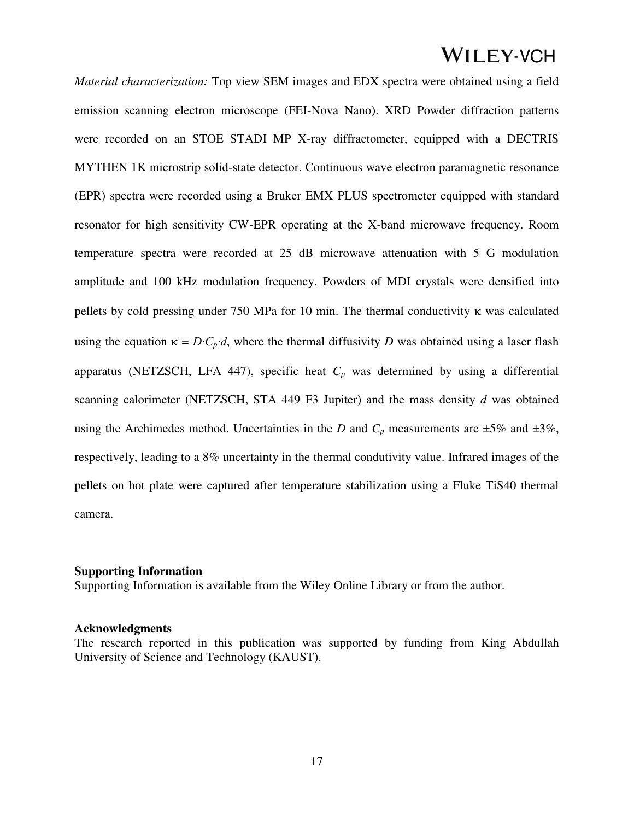*Material characterization:* Top view SEM images and EDX spectra were obtained using a field emission scanning electron microscope (FEI-Nova Nano). XRD Powder diffraction patterns were recorded on an STOE STADI MP X-ray diffractometer, equipped with a DECTRIS MYTHEN 1K microstrip solid-state detector. Continuous wave electron paramagnetic resonance (EPR) spectra were recorded using a Bruker EMX PLUS spectrometer equipped with standard resonator for high sensitivity CW-EPR operating at the X-band microwave frequency. Room temperature spectra were recorded at 25 dB microwave attenuation with 5 G modulation amplitude and 100 kHz modulation frequency. Powders of MDI crystals were densified into pellets by cold pressing under 750 MPa for 10 min. The thermal conductivity  $\kappa$  was calculated using the equation  $\kappa = D \cdot C_p \cdot d$ , where the thermal diffusivity *D* was obtained using a laser flash apparatus (NETZSCH, LFA 447), specific heat  $C_p$  was determined by using a differential scanning calorimeter (NETZSCH, STA 449 F3 Jupiter) and the mass density *d* was obtained using the Archimedes method. Uncertainties in the *D* and  $C_p$  measurements are  $\pm 5\%$  and  $\pm 3\%$ , respectively, leading to a 8% uncertainty in the thermal condutivity value. Infrared images of the pellets on hot plate were captured after temperature stabilization using a Fluke TiS40 thermal camera.

#### **Supporting Information**

Supporting Information is available from the Wiley Online Library or from the author.

### **Acknowledgments**

The research reported in this publication was supported by funding from King Abdullah University of Science and Technology (KAUST).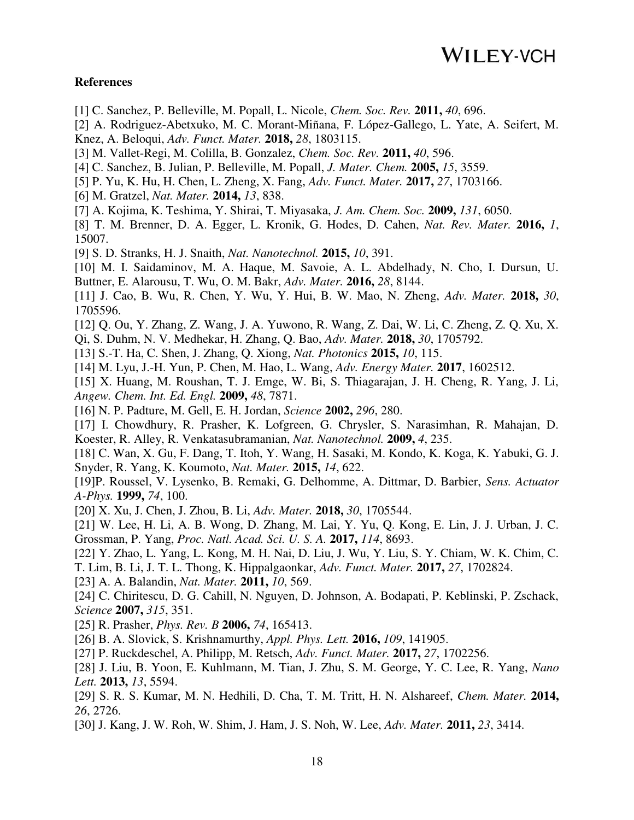### **References**

- [1] C. Sanchez, P. Belleville, M. Popall, L. Nicole, *Chem. Soc. Rev.* **2011,** *40*, 696.
- [2] A. Rodriguez-Abetxuko, M. C. Morant-Miñana, F. López-Gallego, L. Yate, A. Seifert, M. Knez, A. Beloqui, *Adv. Funct. Mater.* **2018,** *28*, 1803115.
- [3] M. Vallet-Regi, M. Colilla, B. Gonzalez, *Chem. Soc. Rev.* **2011,** *40*, 596.
- [4] C. Sanchez, B. Julian, P. Belleville, M. Popall, *J. Mater. Chem.* **2005,** *15*, 3559.
- [5] P. Yu, K. Hu, H. Chen, L. Zheng, X. Fang, *Adv. Funct. Mater.* **2017,** *27*, 1703166.
- [6] M. Gratzel, *Nat. Mater.* **2014,** *13*, 838.
- [7] A. Kojima, K. Teshima, Y. Shirai, T. Miyasaka, *J. Am. Chem. Soc.* **2009,** *131*, 6050.
- [8] T. M. Brenner, D. A. Egger, L. Kronik, G. Hodes, D. Cahen, *Nat. Rev. Mater.* **2016,** *1*, 15007.
- [9] S. D. Stranks, H. J. Snaith, *Nat. Nanotechnol.* **2015,** *10*, 391.
- [10] M. I. Saidaminov, M. A. Haque, M. Savoie, A. L. Abdelhady, N. Cho, I. Dursun, U. Buttner, E. Alarousu, T. Wu, O. M. Bakr, *Adv. Mater.* **2016,** *28*, 8144.
- [11] J. Cao, B. Wu, R. Chen, Y. Wu, Y. Hui, B. W. Mao, N. Zheng, *Adv. Mater.* **2018,** *30*, 1705596.
- [12] Q. Ou, Y. Zhang, Z. Wang, J. A. Yuwono, R. Wang, Z. Dai, W. Li, C. Zheng, Z. Q. Xu, X.
- Qi, S. Duhm, N. V. Medhekar, H. Zhang, Q. Bao, *Adv. Mater.* **2018,** *30*, 1705792.
- [13] S.-T. Ha, C. Shen, J. Zhang, Q. Xiong, *Nat. Photonics* **2015,** *10*, 115.
- [14] M. Lyu, J.-H. Yun, P. Chen, M. Hao, L. Wang, *Adv. Energy Mater.* **2017**, 1602512.
- [15] X. Huang, M. Roushan, T. J. Emge, W. Bi, S. Thiagarajan, J. H. Cheng, R. Yang, J. Li, *Angew. Chem. Int. Ed. Engl.* **2009,** *48*, 7871.
- [16] N. P. Padture, M. Gell, E. H. Jordan, *Science* **2002,** *296*, 280.
- [17] I. Chowdhury, R. Prasher, K. Lofgreen, G. Chrysler, S. Narasimhan, R. Mahajan, D. Koester, R. Alley, R. Venkatasubramanian, *Nat. Nanotechnol.* **2009,** *4*, 235.
- [18] C. Wan, X. Gu, F. Dang, T. Itoh, Y. Wang, H. Sasaki, M. Kondo, K. Koga, K. Yabuki, G. J. Snyder, R. Yang, K. Koumoto, *Nat. Mater.* **2015,** *14*, 622.
- [19]P. Roussel, V. Lysenko, B. Remaki, G. Delhomme, A. Dittmar, D. Barbier, *Sens. Actuator A-Phys.* **1999,** *74*, 100.
- [20] X. Xu, J. Chen, J. Zhou, B. Li, *Adv. Mater.* **2018,** *30*, 1705544.
- [21] W. Lee, H. Li, A. B. Wong, D. Zhang, M. Lai, Y. Yu, Q. Kong, E. Lin, J. J. Urban, J. C. Grossman, P. Yang, *Proc. Natl. Acad. Sci. U. S. A.* **2017,** *114*, 8693.
- [22] Y. Zhao, L. Yang, L. Kong, M. H. Nai, D. Liu, J. Wu, Y. Liu, S. Y. Chiam, W. K. Chim, C.
- T. Lim, B. Li, J. T. L. Thong, K. Hippalgaonkar, *Adv. Funct. Mater.* **2017,** *27*, 1702824.
- [23] A. A. Balandin, *Nat. Mater.* **2011,** *10*, 569.
- [24] C. Chiritescu, D. G. Cahill, N. Nguyen, D. Johnson, A. Bodapati, P. Keblinski, P. Zschack, *Science* **2007,** *315*, 351.
- [25] R. Prasher, *Phys. Rev. B* **2006,** *74*, 165413.
- [26] B. A. Slovick, S. Krishnamurthy, *Appl. Phys. Lett.* **2016,** *109*, 141905.
- [27] P. Ruckdeschel, A. Philipp, M. Retsch, *Adv. Funct. Mater.* **2017,** *27*, 1702256.
- [28] J. Liu, B. Yoon, E. Kuhlmann, M. Tian, J. Zhu, S. M. George, Y. C. Lee, R. Yang, *Nano Lett.* **2013,** *13*, 5594.
- [29] S. R. S. Kumar, M. N. Hedhili, D. Cha, T. M. Tritt, H. N. Alshareef, *Chem. Mater.* **2014,** *26*, 2726.
- [30] J. Kang, J. W. Roh, W. Shim, J. Ham, J. S. Noh, W. Lee, *Adv. Mater.* **2011,** *23*, 3414.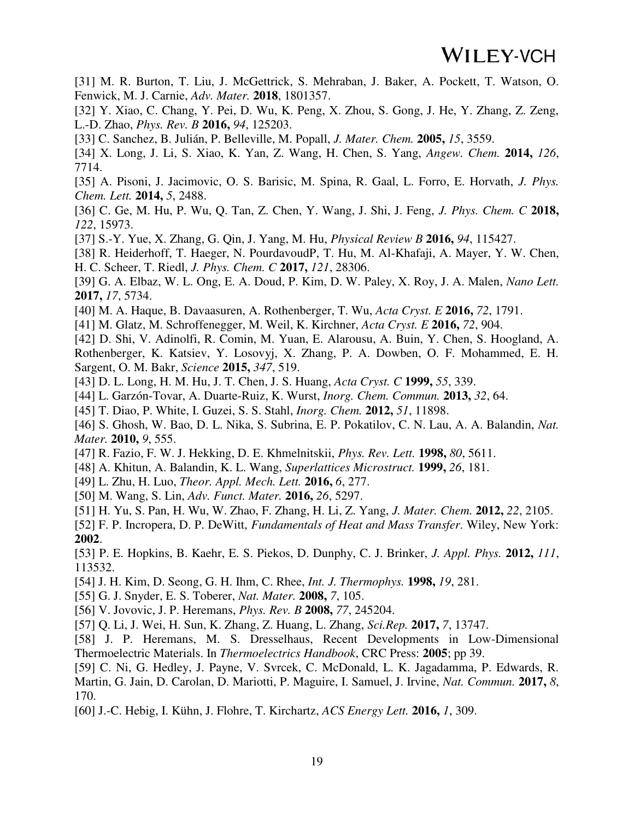[31] M. R. Burton, T. Liu, J. McGettrick, S. Mehraban, J. Baker, A. Pockett, T. Watson, O. Fenwick, M. J. Carnie, *Adv. Mater.* **2018**, 1801357.

[32] Y. Xiao, C. Chang, Y. Pei, D. Wu, K. Peng, X. Zhou, S. Gong, J. He, Y. Zhang, Z. Zeng, L.-D. Zhao, *Phys. Rev. B* **2016,** *94*, 125203.

[33] C. Sanchez, B. Julián, P. Belleville, M. Popall, *J. Mater. Chem.* **2005,** *15*, 3559.

[34] X. Long, J. Li, S. Xiao, K. Yan, Z. Wang, H. Chen, S. Yang, *Angew. Chem.* **2014,** *126*, 7714.

[35] A. Pisoni, J. Jacimovic, O. S. Barisic, M. Spina, R. Gaal, L. Forro, E. Horvath, *J. Phys. Chem. Lett.* **2014,** *5*, 2488.

[36] C. Ge, M. Hu, P. Wu, Q. Tan, Z. Chen, Y. Wang, J. Shi, J. Feng, *J. Phys. Chem. C* **2018,** *122*, 15973.

[37] S.-Y. Yue, X. Zhang, G. Qin, J. Yang, M. Hu, *Physical Review B* **2016,** *94*, 115427.

[38] R. Heiderhoff, T. Haeger, N. PourdavoudP, T. Hu, M. Al-Khafaji, A. Mayer, Y. W. Chen, H. C. Scheer, T. Riedl, *J. Phys. Chem. C* **2017,** *121*, 28306.

[39] G. A. Elbaz, W. L. Ong, E. A. Doud, P. Kim, D. W. Paley, X. Roy, J. A. Malen, *Nano Lett.*  **2017,** *17*, 5734.

[40] M. A. Haque, B. Davaasuren, A. Rothenberger, T. Wu, *Acta Cryst. E* **2016,** *72*, 1791.

[41] M. Glatz, M. Schroffenegger, M. Weil, K. Kirchner, *Acta Cryst. E* **2016,** *72*, 904.

[42] D. Shi, V. Adinolfi, R. Comin, M. Yuan, E. Alarousu, A. Buin, Y. Chen, S. Hoogland, A. Rothenberger, K. Katsiev, Y. Losovyj, X. Zhang, P. A. Dowben, O. F. Mohammed, E. H. Sargent, O. M. Bakr, *Science* **2015,** *347*, 519.

[43] D. L. Long, H. M. Hu, J. T. Chen, J. S. Huang, *Acta Cryst. C* **1999,** *55*, 339.

[44] L. Garzón-Tovar, A. Duarte-Ruiz, K. Wurst, *Inorg. Chem. Commun.* **2013,** *32*, 64.

[45] T. Diao, P. White, I. Guzei, S. S. Stahl, *Inorg. Chem.* **2012,** *51*, 11898.

[46] S. Ghosh, W. Bao, D. L. Nika, S. Subrina, E. P. Pokatilov, C. N. Lau, A. A. Balandin, *Nat. Mater.* **2010,** *9*, 555.

[47] R. Fazio, F. W. J. Hekking, D. E. Khmelnitskii, *Phys. Rev. Lett.* **1998,** *80*, 5611.

[48] A. Khitun, A. Balandin, K. L. Wang, *Superlattices Microstruct.* **1999,** *26*, 181.

[49] L. Zhu, H. Luo, *Theor. Appl. Mech. Lett.* **2016,** *6*, 277.

[50] M. Wang, S. Lin, *Adv. Funct. Mater.* **2016,** *26*, 5297.

[51] H. Yu, S. Pan, H. Wu, W. Zhao, F. Zhang, H. Li, Z. Yang, *J. Mater. Chem.* **2012,** *22*, 2105.

[52] F. P. Incropera, D. P. DeWitt, *Fundamentals of Heat and Mass Transfer*. Wiley, New York: **2002**.

[53] P. E. Hopkins, B. Kaehr, E. S. Piekos, D. Dunphy, C. J. Brinker, *J. Appl. Phys.* **2012,** *111*, 113532.

[54] J. H. Kim, D. Seong, G. H. Ihm, C. Rhee, *Int. J. Thermophys.* **1998,** *19*, 281.

[55] G. J. Snyder, E. S. Toberer, *Nat. Mater.* **2008,** *7*, 105.

[56] V. Jovovic, J. P. Heremans, *Phys. Rev. B* **2008,** *77*, 245204.

[57] Q. Li, J. Wei, H. Sun, K. Zhang, Z. Huang, L. Zhang, *Sci.Rep.* **2017,** *7*, 13747.

[58] J. P. Heremans, M. S. Dresselhaus, Recent Developments in Low-Dimensional Thermoelectric Materials. In *Thermoelectrics Handbook*, CRC Press: **2005**; pp 39.

[59] C. Ni, G. Hedley, J. Payne, V. Svrcek, C. McDonald, L. K. Jagadamma, P. Edwards, R. Martin, G. Jain, D. Carolan, D. Mariotti, P. Maguire, I. Samuel, J. Irvine, *Nat. Commun.* **2017,** *8*, 170.

[60] J.-C. Hebig, I. Kühn, J. Flohre, T. Kirchartz, *ACS Energy Lett.* **2016,** *1*, 309.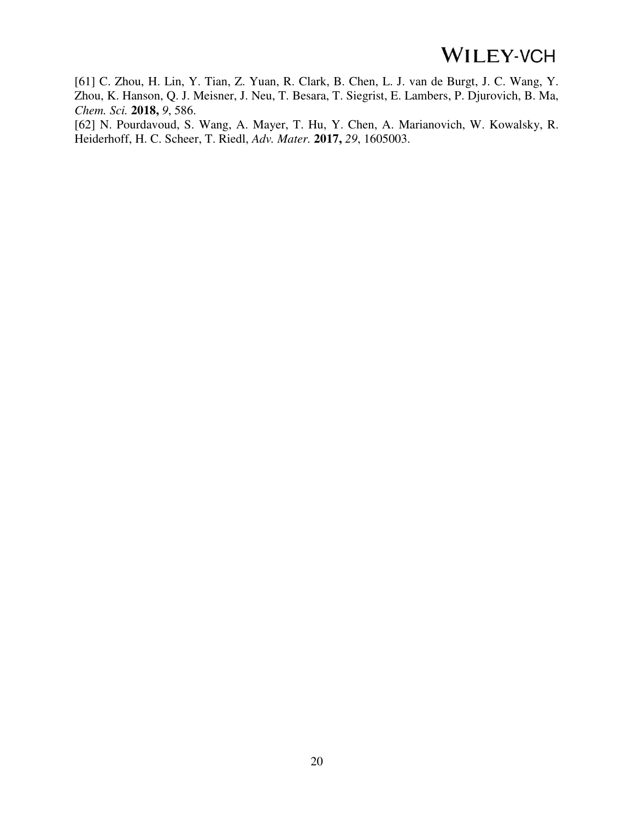[61] C. Zhou, H. Lin, Y. Tian, Z. Yuan, R. Clark, B. Chen, L. J. van de Burgt, J. C. Wang, Y. Zhou, K. Hanson, Q. J. Meisner, J. Neu, T. Besara, T. Siegrist, E. Lambers, P. Djurovich, B. Ma, *Chem. Sci.* **2018,** *9*, 586.

[62] N. Pourdavoud, S. Wang, A. Mayer, T. Hu, Y. Chen, A. Marianovich, W. Kowalsky, R. Heiderhoff, H. C. Scheer, T. Riedl, *Adv. Mater.* **2017,** *29*, 1605003.